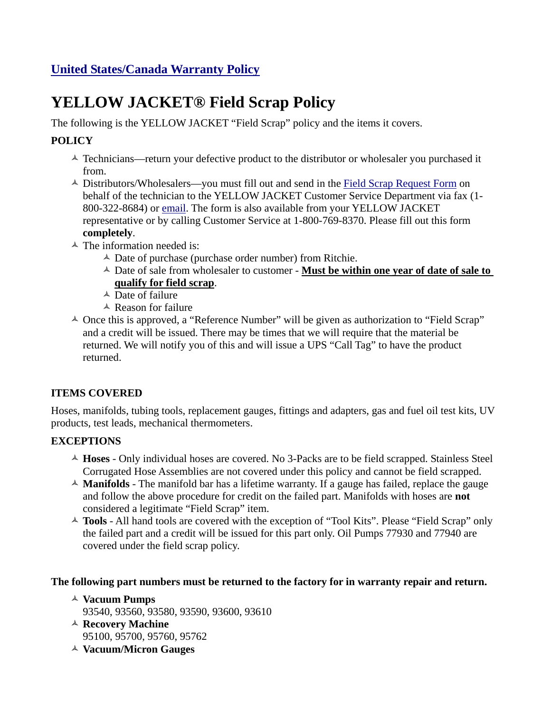# **YELLOW JACKET® Field Scrap Policy**

The following is the YELLOW JACKET "Field Scrap" policy and the items it covers.

## **POLICY**

- $\triangle$  Technicians—return your defective product to the distributor or wholesaler you purchased it from.
- <sup> $\triangle$ </sup> Distributors/Wholesalers—you must fill out and send in the [Field Scrap Request Form](http://yellowjacket.com/sites/default/files/product_manuals/Field_Scrap_Authorization_Form.pdf) on behalf of the technician to the YELLOW JACKET Customer Service Department via fax (1- 800-322-8684) or [email.](mailto:%20custserv@yellowjacket.com) The form is also available from your YELLOW JACKET representative or by calling Customer Service at 1-800-769-8370. Please fill out this form **completely**.
- $\triangle$  The information needed is:
	- $\triangle$  Date of purchase (purchase order number) from Ritchie.
	- $\triangle$  Date of sale from wholesaler to customer **Must be within one year of date of sale to qualify for field scrap**.
	- $\triangle$  Date of failure
	- $\triangle$  Reason for failure
- $\triangle$  Once this is approved, a "Reference Number" will be given as authorization to "Field Scrap" and a credit will be issued. There may be times that we will require that the material be returned. We will notify you of this and will issue a UPS "Call Tag" to have the product returned.

### **ITEMS COVERED**

Hoses, manifolds, tubing tools, replacement gauges, fittings and adapters, gas and fuel oil test kits, UV products, test leads, mechanical thermometers.

### **EXCEPTIONS**

- <sup> $\triangle$ </sup> **Hoses** Only individual hoses are covered. No 3-Packs are to be field scrapped. Stainless Steel Corrugated Hose Assemblies are not covered under this policy and cannot be field scrapped.
- $\triangle$  **Manifolds** The manifold bar has a lifetime warranty. If a gauge has failed, replace the gauge and follow the above procedure for credit on the failed part. Manifolds with hoses are **not** considered a legitimate "Field Scrap" item.
- <sup> $\triangle$ </sup> Tools All hand tools are covered with the exception of "Tool Kits". Please "Field Scrap" only the failed part and a credit will be issued for this part only. Oil Pumps 77930 and 77940 are covered under the field scrap policy.

#### **The following part numbers must be returned to the factory for in warranty repair and return.**

- Ó **Vacuum Pumps**
	- 93540, 93560, 93580, 93590, 93600, 93610
- <sup> $\triangle$ </sup> Recovery Machine 95100, 95700, 95760, 95762
- Ó **Vacuum/Micron Gauges**